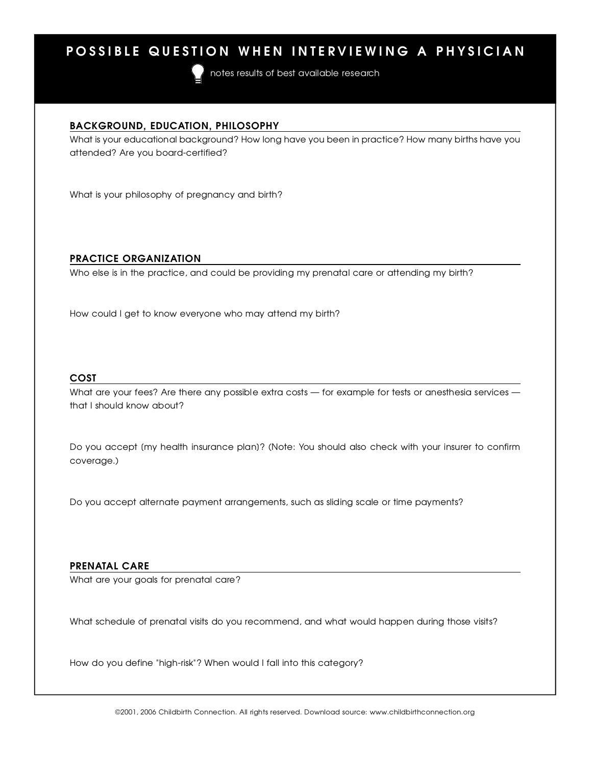## POSSIBLE QUESTION WHEN INTERVIEWING A PHYSICIAN

notes results of best available research

<u>BACKGROUND, EDUCATION, PHILOSOPHY</u> What is your educational background? How long have you been in practice? How many births have you attended? Are you board-certified?

What is your philosophy of pregnancy and birth?

# <u>Practice organization</u>

Who else is in the practice, and could be previoing my prenatal care or attending my birth?

How could I get to know everyone who may attend my birth?

# $\frac{1}{\sqrt{2}}$

What are your fees? Are there any possible extra costs — for example for following anothesia services that I should know about?

Do you accept [my health insurance plan]? (Note: You should also check with your insurer to confirm coverage.)

Do you accept alternate payment arrangements, such as sliding scale or time payments?

<u>P R E N ATAL CARE</u> What are your goals for profitation care ?

What schedule of prenatal visits do you recommend, and what would happen during those visits?

How do you define "high-risk"? When would I fall into this category?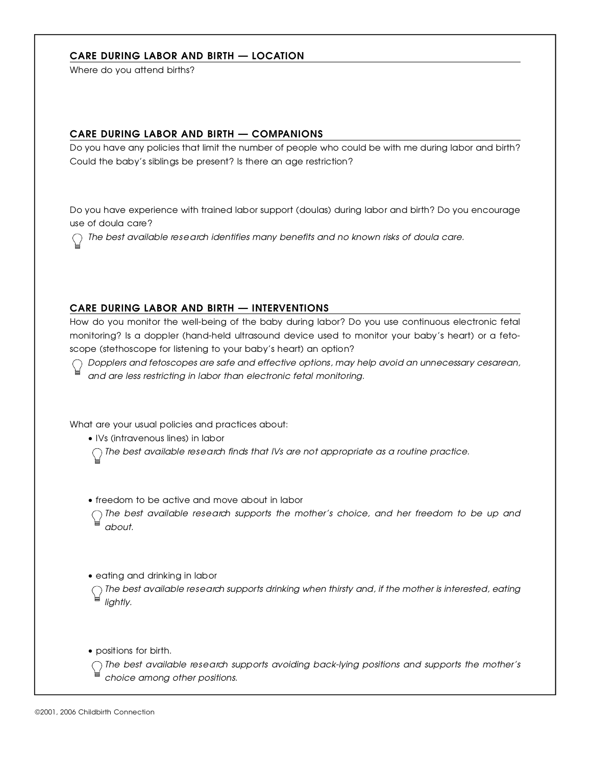### CARE DURING LABOR AND BIRTH - LOCATION

Where do you attend births?

<u>CARE DURING BADURAND BIRTH — COMPANIONS</u> Do you have any policies that limit the number of people who could be with me during labor and birth? Could the baby's siblings be present? Is there an age restriction?

Do you have experience with trained labor support (doulas) during labor and birth? Do you encourage  $\frac{1}{2}$ 

*The best available re s e a rch identifies many benefits and no known risks of doula care .*

**CARE DURING LABOR AND BIRTH — INTERVENTIONS**<br>How do you monitor the well-being of the baby during labor? Do you use continuous electronic fetal How do you monitor the well-being of the baby during labor? Do you use continuous electronic fetal monitoring? Is a doppler (hand-held ultrasound device used to monitor your baby's heart) or a fetoscope (stethoscope for listening to your baby's heart) an option?

*Dopplers and fetoscopes are safe and effective options, may help avoid an unnecessary cesare a n , and are less restricting in labor than electronic fetal monitoring.*

What are your usual policies and practices about:<br>• IVs (intravenous lines) in labor

 $\sim$  IVs (intraversions in labor lines) in labor

*The best available re s e a rch finds that IVs are not appropriate as a routine practice.*

 $\sim$  freedom to be active and move about in labor *The best available research supports the momen's* choice, and her *freedom* to be ap and *a b o u t .*

 $\sim$  earning and drinking in labor

*The secret available research supports dimining when thirdly and, if the mother is interested, earing* lightly.

 $\epsilon$  positions for birth.

*The best available re s e a rch supports avoiding back-lying positions and supports the mother's choice among other positions.*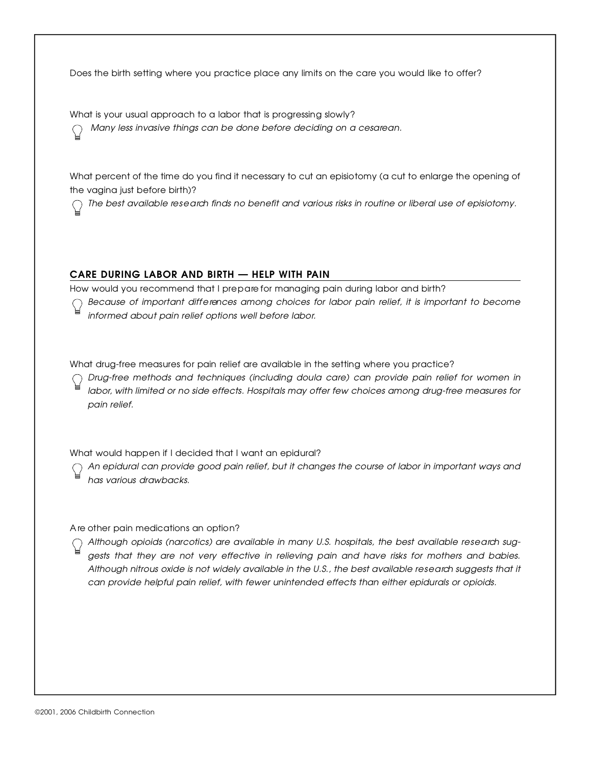Does the birth setting where you practice place any limits on the care you would like to offer?

what is your usual approach to a labor that is progressing slowly? *Many less invasive things can be done before deciding on a cesare a n .*

What percent of the time do you find it necessary to cut an episiotomy (a cut to enlarge the opening of the vagina just before birth)?  $t \sim t \sin \theta$  , which is a set of birth)?

*The best available re s e a rch finds no benefit and various risks in routine or liberal use of episiotomy.*

**CARE DURING LABOR AND BIRTH — HELP WITH PAIN**<br>How would you recommend that I prepare for managing pain during labor and birth? How would you recommend that I pre p a re for managing pain during labor and birth?

*Because of important diff e rences among choices for labor pain relief, it is important to become i n f o rmed about pain relief options well before labor.*

What drug-free measures for pain relief are available in the setting where you practice?

*D r u g - f ree methods and techniques (including doula care) can provide pain relief for women in l a b o r, with limited or no side effects. Hospitals may offer few choices among drug-free measures for* pain relief.

What would happen if I decided that I want an epidural?

*An epidural can provide good pain relief, but it changes the course of labor in important ways and has various drawbacks.*

A re other pain medications an option?

*Although opioids (narcotics) are available in many U.S. hospitals, the best available re s e a rch suggests that they are not very effective in relieving pain and have risks for mothers and babies. Although nitrous oxide is not widely available in the U.S., the best available re s e a rch suggests that it can provide helpful pain relief, with fewer unintended effects than either epidurals or opioids.*